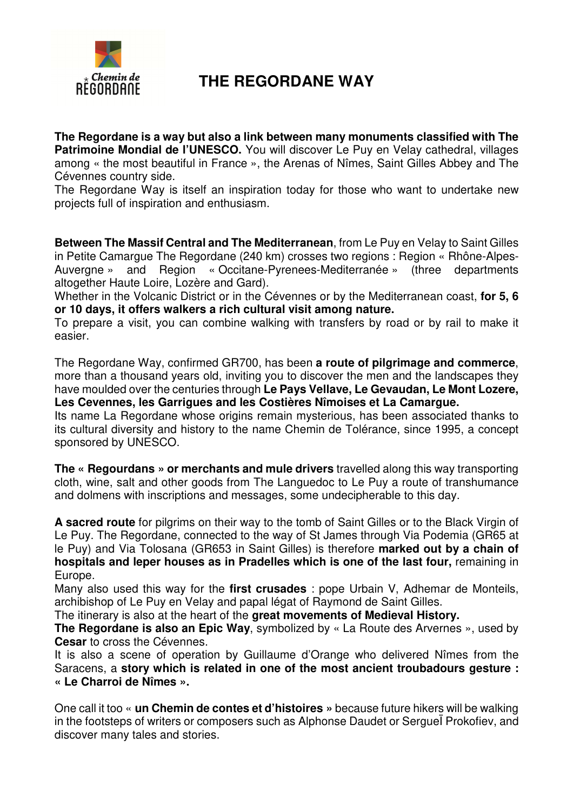

## **THE REGORDANE WAY**

**The Regordane is a way but also a link between many monuments classified with The**  Patrimoine Mondial de l'UNESCO. You will discover Le Puy en Velay cathedral, villages among « the most beautiful in France », the Arenas of Nîmes, Saint Gilles Abbey and The Cévennes country side.

The Regordane Way is itself an inspiration today for those who want to undertake new projects full of inspiration and enthusiasm.

**Between The Massif Central and The Mediterranean**, from Le Puy en Velay to Saint Gilles in Petite Camargue The Regordane (240 km) crosses two regions : Region « Rhône-Alpes-Auvergne » and Region « Occitane-Pyrenees-Mediterranée » (three departments altogether Haute Loire, Lozère and Gard).

Whether in the Volcanic District or in the Cévennes or by the Mediterranean coast, **for 5, 6 or 10 days, it offers walkers a rich cultural visit among nature.**

To prepare a visit, you can combine walking with transfers by road or by rail to make it easier.

The Regordane Way, confirmed GR700, has been **a route of pilgrimage and commerce**, more than a thousand years old, inviting you to discover the men and the landscapes they have moulded over the centuries through **Le Pays Vellave, Le Gevaudan, Le Mont Lozere, Les Cevennes, les Garrigues and les Costières Nîmoises et La Camargue.** 

Its name La Regordane whose origins remain mysterious, has been associated thanks to its cultural diversity and history to the name Chemin de Tolérance, since 1995, a concept sponsored by UNESCO.

**The « Regourdans » or merchants and mule drivers** travelled along this way transporting cloth, wine, salt and other goods from The Languedoc to Le Puy a route of transhumance and dolmens with inscriptions and messages, some undecipherable to this day.

**A sacred route** for pilgrims on their way to the tomb of Saint Gilles or to the Black Virgin of Le Puy. The Regordane, connected to the way of St James through Via Podemia (GR65 at le Puy) and Via Tolosana (GR653 in Saint Gilles) is therefore **marked out by a chain of hospitals and leper houses as in Pradelles which is one of the last four,** remaining in Europe.

Many also used this way for the **first crusades** : pope Urbain V, Adhemar de Monteils, archibishop of Le Puy en Velay and papal légat of Raymond de Saint Gilles.

The itinerary is also at the heart of the **great movements of Medieval History.** 

**The Regordane is also an Epic Way**, symbolized by « La Route des Arvernes », used by **Cesar** to cross the Cévennes.

It is also a scene of operation by Guillaume d'Orange who delivered Nîmes from the Saracens, a **story which is related in one of the most ancient troubadours gesture : « Le Charroi de Nîmes ».** 

One call it too « **un Chemin de contes et d'histoires »** because future hikers will be walking in the footsteps of writers or composers such as Alphonse Daudet or SergueÏ Prokofiev, and discover many tales and stories.